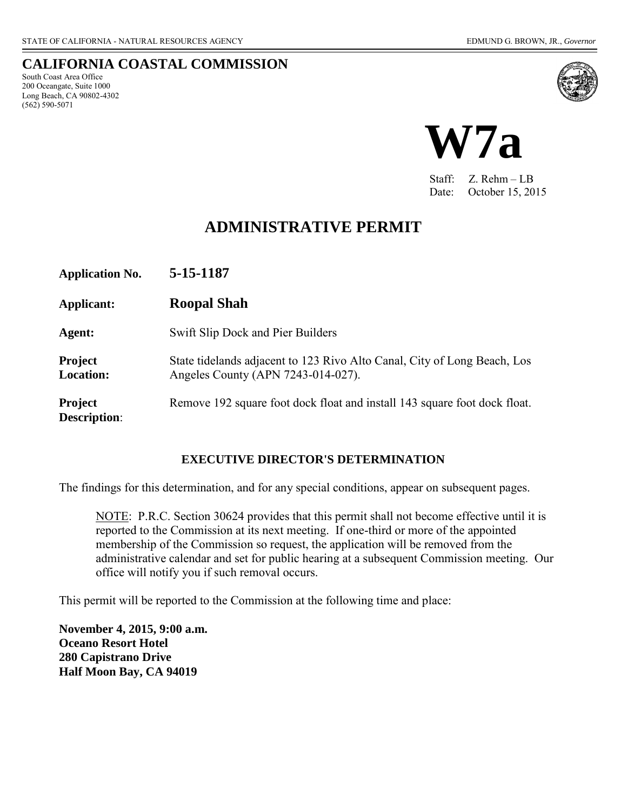South Coast Area Office 200 Oceangate, Suite 1000 Long Beach, CA 90802-4302

(562) 590-5071

**CALIFORNIA COASTAL COMMISSION** 



Staff: Z. Rehm – LB Date: October 15, 2015

# **ADMINISTRATIVE PERMIT**

| <b>Application No.</b>                | 5-15-1187                                                                                                      |
|---------------------------------------|----------------------------------------------------------------------------------------------------------------|
| Applicant:                            | <b>Roopal Shah</b>                                                                                             |
| Agent:                                | Swift Slip Dock and Pier Builders                                                                              |
| <b>Project</b><br><b>Location:</b>    | State tidelands adjacent to 123 Rivo Alto Canal, City of Long Beach, Los<br>Angeles County (APN 7243-014-027). |
| <b>Project</b><br><b>Description:</b> | Remove 192 square foot dock float and install 143 square foot dock float.                                      |

#### **EXECUTIVE DIRECTOR'S DETERMINATION**

The findings for this determination, and for any special conditions, appear on subsequent pages.

NOTE: P.R.C. Section 30624 provides that this permit shall not become effective until it is reported to the Commission at its next meeting. If one-third or more of the appointed membership of the Commission so request, the application will be removed from the administrative calendar and set for public hearing at a subsequent Commission meeting. Our office will notify you if such removal occurs.

This permit will be reported to the Commission at the following time and place:

**November 4, 2015, 9:00 a.m. Oceano Resort Hotel 280 Capistrano Drive Half Moon Bay, CA 94019**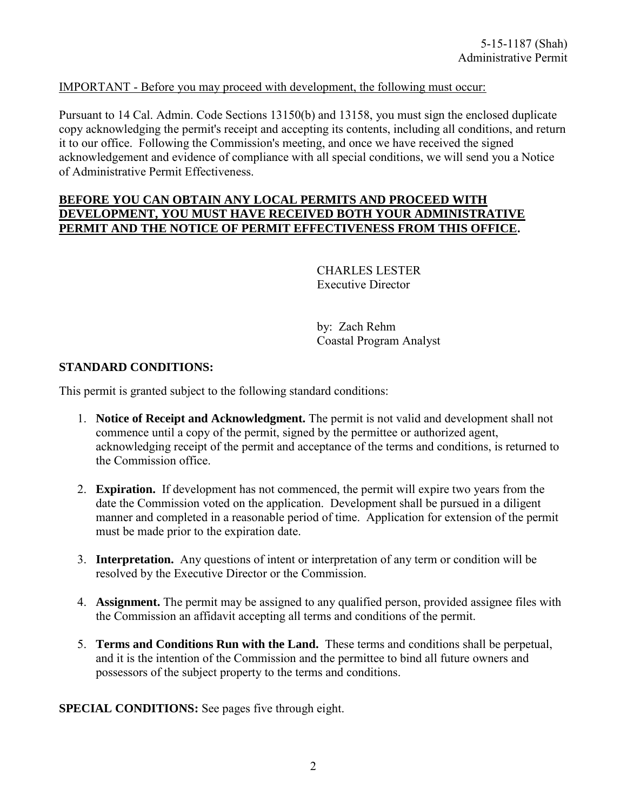## IMPORTANT - Before you may proceed with development, the following must occur:

Pursuant to 14 Cal. Admin. Code Sections 13150(b) and 13158, you must sign the enclosed duplicate copy acknowledging the permit's receipt and accepting its contents, including all conditions, and return it to our office. Following the Commission's meeting, and once we have received the signed acknowledgement and evidence of compliance with all special conditions, we will send you a Notice of Administrative Permit Effectiveness.

#### **BEFORE YOU CAN OBTAIN ANY LOCAL PERMITS AND PROCEED WITH DEVELOPMENT, YOU MUST HAVE RECEIVED BOTH YOUR ADMINISTRATIVE PERMIT AND THE NOTICE OF PERMIT EFFECTIVENESS FROM THIS OFFICE.**

 CHARLES LESTER Executive Director

 by: Zach Rehm Coastal Program Analyst

### **STANDARD CONDITIONS:**

This permit is granted subject to the following standard conditions:

- 1. **Notice of Receipt and Acknowledgment.** The permit is not valid and development shall not commence until a copy of the permit, signed by the permittee or authorized agent, acknowledging receipt of the permit and acceptance of the terms and conditions, is returned to the Commission office.
- 2. **Expiration.** If development has not commenced, the permit will expire two years from the date the Commission voted on the application. Development shall be pursued in a diligent manner and completed in a reasonable period of time. Application for extension of the permit must be made prior to the expiration date.
- 3. **Interpretation.** Any questions of intent or interpretation of any term or condition will be resolved by the Executive Director or the Commission.
- 4. **Assignment.** The permit may be assigned to any qualified person, provided assignee files with the Commission an affidavit accepting all terms and conditions of the permit.
- 5. **Terms and Conditions Run with the Land.** These terms and conditions shall be perpetual, and it is the intention of the Commission and the permittee to bind all future owners and possessors of the subject property to the terms and conditions.

**SPECIAL CONDITIONS:** [See pages five through eight.](#page-4-0)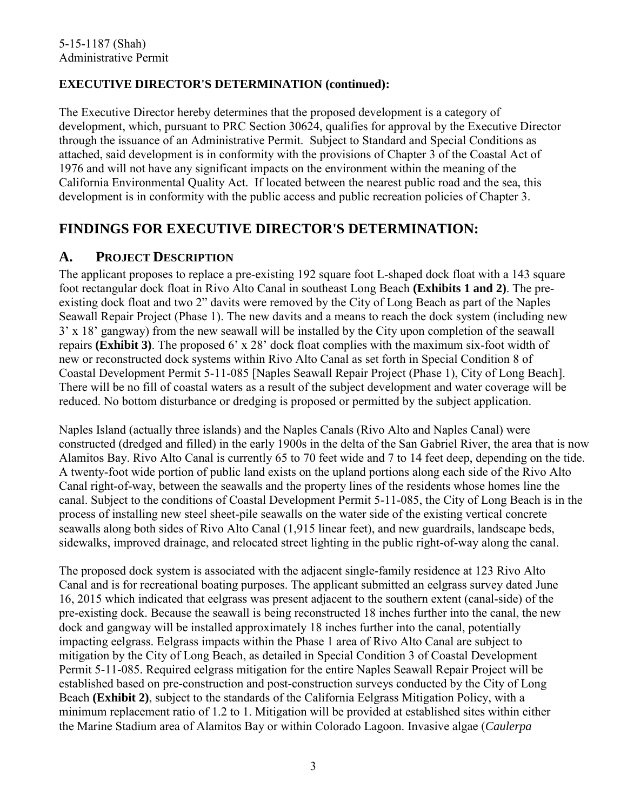## **EXECUTIVE DIRECTOR'S DETERMINATION (continued):**

The Executive Director hereby determines that the proposed development is a category of development, which, pursuant to PRC Section 30624, qualifies for approval by the Executive Director through the issuance of an Administrative Permit. Subject to Standard and Special Conditions as attached, said development is in conformity with the provisions of Chapter 3 of the Coastal Act of 1976 and will not have any significant impacts on the environment within the meaning of the California Environmental Quality Act. If located between the nearest public road and the sea, this development is in conformity with the public access and public recreation policies of Chapter 3.

# **FINDINGS FOR EXECUTIVE DIRECTOR'S DETERMINATION:**

## **A. PROJECT DESCRIPTION**

The applicant proposes to replace a pre-existing 192 square foot L-shaped dock float with a 143 square foot rectangular dock float in Rivo Alto Canal in southeast Long Beach **[\(Exhibits 1 and 2\)](#page-8-0)**. The preexisting dock float and two 2" davits were removed by the City of Long Beach as part of the Naples Seawall Repair Project (Phase 1). The new davits and a means to reach the dock system (including new 3' x 18' gangway) from the new seawall will be installed by the City upon completion of the seawall repairs **[\(Exhibit 3\)](#page-10-0)**. The proposed 6' x 28' dock float complies with the maximum six-foot width of new or reconstructed dock systems within Rivo Alto Canal as set forth in Special Condition 8 of Coastal Development Permit 5-11-085 [Naples Seawall Repair Project (Phase 1), City of Long Beach]. There will be no fill of coastal waters as a result of the subject development and water coverage will be reduced. No bottom disturbance or dredging is proposed or permitted by the subject application.

Naples Island (actually three islands) and the Naples Canals (Rivo Alto and Naples Canal) were constructed (dredged and filled) in the early 1900s in the delta of the San Gabriel River, the area that is now Alamitos Bay. Rivo Alto Canal is currently 65 to 70 feet wide and 7 to 14 feet deep, depending on the tide. A twenty-foot wide portion of public land exists on the upland portions along each side of the Rivo Alto Canal right-of-way, between the seawalls and the property lines of the residents whose homes line the canal. Subject to the conditions of Coastal Development Permit 5-11-085, the City of Long Beach is in the process of installing new steel sheet-pile seawalls on the water side of the existing vertical concrete seawalls along both sides of Rivo Alto Canal (1,915 linear feet), and new guardrails, landscape beds, sidewalks, improved drainage, and relocated street lighting in the public right-of-way along the canal.

The proposed dock system is associated with the adjacent single-family residence at 123 Rivo Alto Canal and is for recreational boating purposes. The applicant submitted an eelgrass survey dated June 16, 2015 which indicated that eelgrass was present adjacent to the southern extent (canal-side) of the pre-existing dock. Because the seawall is being reconstructed 18 inches further into the canal, the new dock and gangway will be installed approximately 18 inches further into the canal, potentially impacting eelgrass. Eelgrass impacts within the Phase 1 area of Rivo Alto Canal are subject to mitigation by the City of Long Beach, as detailed in Special Condition 3 of Coastal Development Permit 5-11-085. Required eelgrass mitigation for the entire Naples Seawall Repair Project will be established based on pre-construction and post-construction surveys conducted by the City of Long Beach **[\(Exhibit 2\)](#page-9-0)**, subject to the standards of the California Eelgrass Mitigation Policy, with a minimum replacement ratio of 1.2 to 1. Mitigation will be provided at established sites within either the Marine Stadium area of Alamitos Bay or within Colorado Lagoon. Invasive algae (*Caulerpa*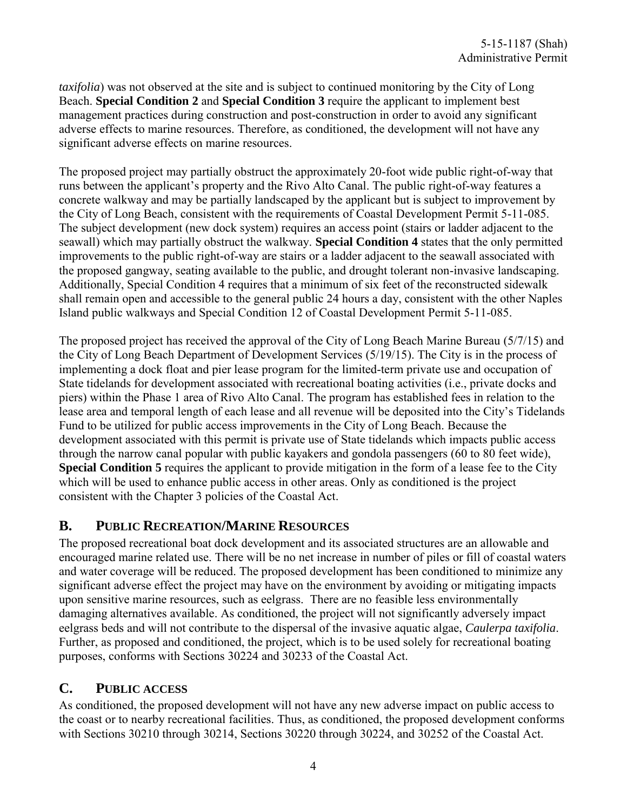*taxifolia*) was not observed at the site and is subject to continued monitoring by the City of Long Beach. **Special Condition 2** and **Special Condition 3** require the applicant to implement best management practices during construction and post-construction in order to avoid any significant adverse effects to marine resources. Therefore, as conditioned, the development will not have any significant adverse effects on marine resources.

The proposed project may partially obstruct the approximately 20-foot wide public right-of-way that runs between the applicant's property and the Rivo Alto Canal. The public right-of-way features a concrete walkway and may be partially landscaped by the applicant but is subject to improvement by the City of Long Beach, consistent with the requirements of Coastal Development Permit 5-11-085. The subject development (new dock system) requires an access point (stairs or ladder adjacent to the seawall) which may partially obstruct the walkway. **Special Condition 4** states that the only permitted improvements to the public right-of-way are stairs or a ladder adjacent to the seawall associated with the proposed gangway, seating available to the public, and drought tolerant non-invasive landscaping. Additionally, Special Condition 4 requires that a minimum of six feet of the reconstructed sidewalk shall remain open and accessible to the general public 24 hours a day, consistent with the other Naples Island public walkways and Special Condition 12 of Coastal Development Permit 5-11-085.

The proposed project has received the approval of the City of Long Beach Marine Bureau (5/7/15) and the City of Long Beach Department of Development Services (5/19/15). The City is in the process of implementing a dock float and pier lease program for the limited-term private use and occupation of State tidelands for development associated with recreational boating activities (i.e., private docks and piers) within the Phase 1 area of Rivo Alto Canal. The program has established fees in relation to the lease area and temporal length of each lease and all revenue will be deposited into the City's Tidelands Fund to be utilized for public access improvements in the City of Long Beach. Because the development associated with this permit is private use of State tidelands which impacts public access through the narrow canal popular with public kayakers and gondola passengers (60 to 80 feet wide), **Special Condition 5** requires the applicant to provide mitigation in the form of a lease fee to the City which will be used to enhance public access in other areas. Only as conditioned is the project consistent with the Chapter 3 policies of the Coastal Act.

## **B. PUBLIC RECREATION/MARINE RESOURCES**

The proposed recreational boat dock development and its associated structures are an allowable and encouraged marine related use. There will be no net increase in number of piles or fill of coastal waters and water coverage will be reduced. The proposed development has been conditioned to minimize any significant adverse effect the project may have on the environment by avoiding or mitigating impacts upon sensitive marine resources, such as eelgrass. There are no feasible less environmentally damaging alternatives available. As conditioned, the project will not significantly adversely impact eelgrass beds and will not contribute to the dispersal of the invasive aquatic algae, *Caulerpa taxifolia*. Further, as proposed and conditioned, the project, which is to be used solely for recreational boating purposes, conforms with Sections 30224 and 30233 of the Coastal Act.

## **C. PUBLIC ACCESS**

As conditioned, the proposed development will not have any new adverse impact on public access to the coast or to nearby recreational facilities. Thus, as conditioned, the proposed development conforms with Sections 30210 through 30214, Sections 30220 through 30224, and 30252 of the Coastal Act.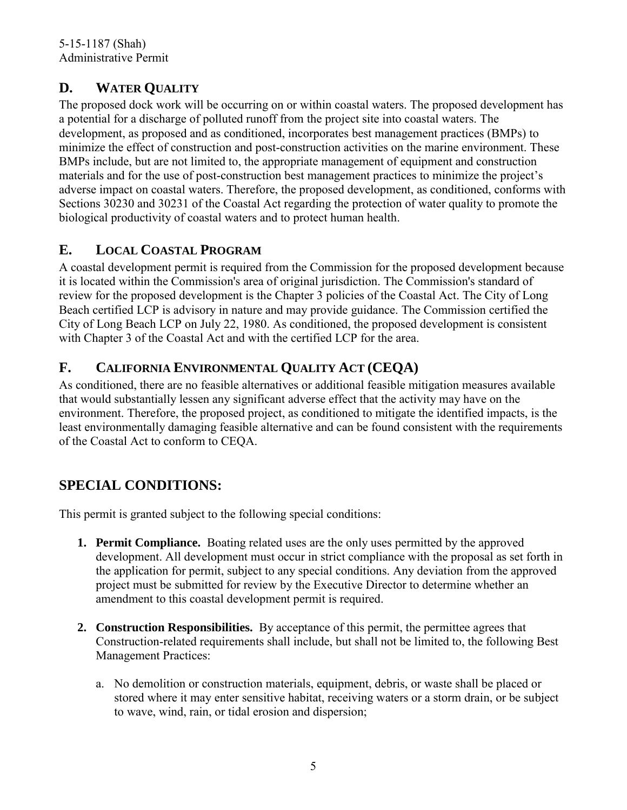# <span id="page-4-0"></span>**D. WATER QUALITY**

The proposed dock work will be occurring on or within coastal waters. The proposed development has a potential for a discharge of polluted runoff from the project site into coastal waters. The development, as proposed and as conditioned, incorporates best management practices (BMPs) to minimize the effect of construction and post-construction activities on the marine environment. These BMPs include, but are not limited to, the appropriate management of equipment and construction materials and for the use of post-construction best management practices to minimize the project's adverse impact on coastal waters. Therefore, the proposed development, as conditioned, conforms with Sections 30230 and 30231 of the Coastal Act regarding the protection of water quality to promote the biological productivity of coastal waters and to protect human health.

# **E. LOCAL COASTAL PROGRAM**

A coastal development permit is required from the Commission for the proposed development because it is located within the Commission's area of original jurisdiction. The Commission's standard of review for the proposed development is the Chapter 3 policies of the Coastal Act. The City of Long Beach certified LCP is advisory in nature and may provide guidance. The Commission certified the City of Long Beach LCP on July 22, 1980. As conditioned, the proposed development is consistent with Chapter 3 of the Coastal Act and with the certified LCP for the area.

# **F. CALIFORNIA ENVIRONMENTAL QUALITY ACT (CEQA)**

As conditioned, there are no feasible alternatives or additional feasible mitigation measures available that would substantially lessen any significant adverse effect that the activity may have on the environment. Therefore, the proposed project, as conditioned to mitigate the identified impacts, is the least environmentally damaging feasible alternative and can be found consistent with the requirements of the Coastal Act to conform to CEQA.

# **SPECIAL CONDITIONS:**

This permit is granted subject to the following special conditions:

- **1. Permit Compliance.** Boating related uses are the only uses permitted by the approved development. All development must occur in strict compliance with the proposal as set forth in the application for permit, subject to any special conditions. Any deviation from the approved project must be submitted for review by the Executive Director to determine whether an amendment to this coastal development permit is required.
- **2. Construction Responsibilities.** By acceptance of this permit, the permittee agrees that Construction-related requirements shall include, but shall not be limited to, the following Best Management Practices:
	- a. No demolition or construction materials, equipment, debris, or waste shall be placed or stored where it may enter sensitive habitat, receiving waters or a storm drain, or be subject to wave, wind, rain, or tidal erosion and dispersion;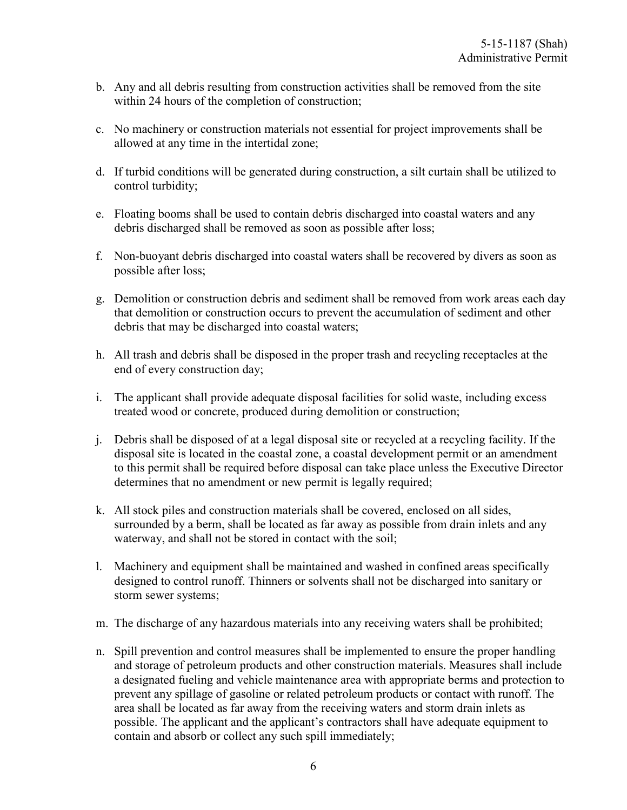- b. Any and all debris resulting from construction activities shall be removed from the site within 24 hours of the completion of construction;
- c. No machinery or construction materials not essential for project improvements shall be allowed at any time in the intertidal zone;
- d. If turbid conditions will be generated during construction, a silt curtain shall be utilized to control turbidity;
- e. Floating booms shall be used to contain debris discharged into coastal waters and any debris discharged shall be removed as soon as possible after loss;
- f. Non-buoyant debris discharged into coastal waters shall be recovered by divers as soon as possible after loss;
- g. Demolition or construction debris and sediment shall be removed from work areas each day that demolition or construction occurs to prevent the accumulation of sediment and other debris that may be discharged into coastal waters;
- h. All trash and debris shall be disposed in the proper trash and recycling receptacles at the end of every construction day;
- i. The applicant shall provide adequate disposal facilities for solid waste, including excess treated wood or concrete, produced during demolition or construction;
- j. Debris shall be disposed of at a legal disposal site or recycled at a recycling facility. If the disposal site is located in the coastal zone, a coastal development permit or an amendment to this permit shall be required before disposal can take place unless the Executive Director determines that no amendment or new permit is legally required;
- k. All stock piles and construction materials shall be covered, enclosed on all sides, surrounded by a berm, shall be located as far away as possible from drain inlets and any waterway, and shall not be stored in contact with the soil;
- l. Machinery and equipment shall be maintained and washed in confined areas specifically designed to control runoff. Thinners or solvents shall not be discharged into sanitary or storm sewer systems;
- m. The discharge of any hazardous materials into any receiving waters shall be prohibited;
- n. Spill prevention and control measures shall be implemented to ensure the proper handling and storage of petroleum products and other construction materials. Measures shall include a designated fueling and vehicle maintenance area with appropriate berms and protection to prevent any spillage of gasoline or related petroleum products or contact with runoff. The area shall be located as far away from the receiving waters and storm drain inlets as possible. The applicant and the applicant's contractors shall have adequate equipment to contain and absorb or collect any such spill immediately;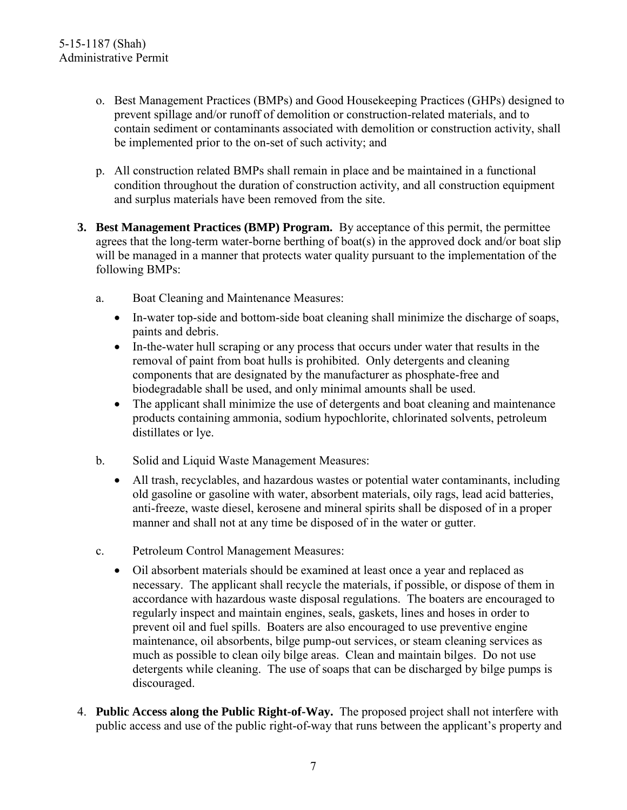- o. Best Management Practices (BMPs) and Good Housekeeping Practices (GHPs) designed to prevent spillage and/or runoff of demolition or construction-related materials, and to contain sediment or contaminants associated with demolition or construction activity, shall be implemented prior to the on-set of such activity; and
- p. All construction related BMPs shall remain in place and be maintained in a functional condition throughout the duration of construction activity, and all construction equipment and surplus materials have been removed from the site.
- **3. Best Management Practices (BMP) Program.** By acceptance of this permit, the permittee agrees that the long-term water-borne berthing of boat(s) in the approved dock and/or boat slip will be managed in a manner that protects water quality pursuant to the implementation of the following BMPs:
	- a. Boat Cleaning and Maintenance Measures:
		- In-water top-side and bottom-side boat cleaning shall minimize the discharge of soaps, paints and debris.
		- In-the-water hull scraping or any process that occurs under water that results in the removal of paint from boat hulls is prohibited. Only detergents and cleaning components that are designated by the manufacturer as phosphate-free and biodegradable shall be used, and only minimal amounts shall be used.
		- The applicant shall minimize the use of detergents and boat cleaning and maintenance products containing ammonia, sodium hypochlorite, chlorinated solvents, petroleum distillates or lye.
	- b. Solid and Liquid Waste Management Measures:
		- All trash, recyclables, and hazardous wastes or potential water contaminants, including old gasoline or gasoline with water, absorbent materials, oily rags, lead acid batteries, anti-freeze, waste diesel, kerosene and mineral spirits shall be disposed of in a proper manner and shall not at any time be disposed of in the water or gutter.
	- c. Petroleum Control Management Measures:
		- Oil absorbent materials should be examined at least once a year and replaced as necessary. The applicant shall recycle the materials, if possible, or dispose of them in accordance with hazardous waste disposal regulations. The boaters are encouraged to regularly inspect and maintain engines, seals, gaskets, lines and hoses in order to prevent oil and fuel spills. Boaters are also encouraged to use preventive engine maintenance, oil absorbents, bilge pump-out services, or steam cleaning services as much as possible to clean oily bilge areas. Clean and maintain bilges. Do not use detergents while cleaning. The use of soaps that can be discharged by bilge pumps is discouraged.
- 4. **Public Access along the Public Right-of-Way.** The proposed project shall not interfere with public access and use of the public right-of-way that runs between the applicant's property and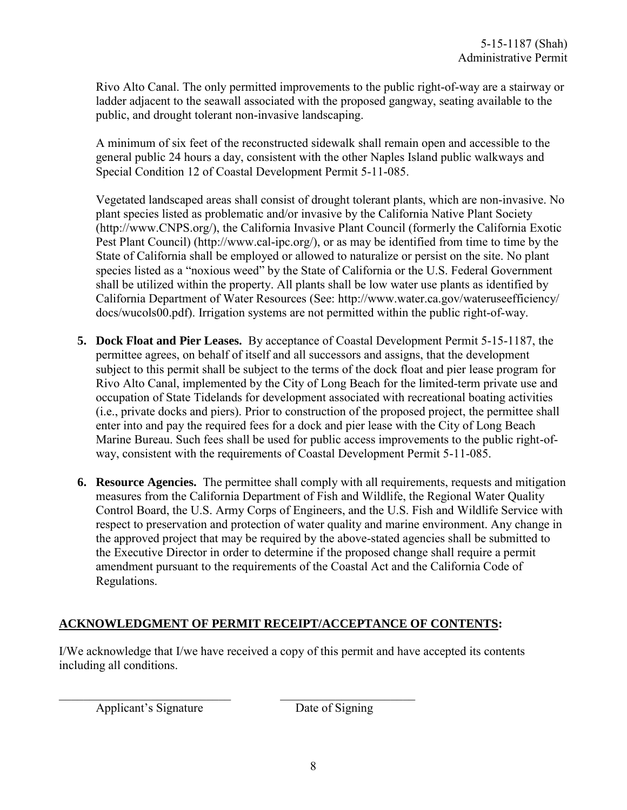Rivo Alto Canal. The only permitted improvements to the public right-of-way are a stairway or ladder adjacent to the seawall associated with the proposed gangway, seating available to the public, and drought tolerant non-invasive landscaping.

A minimum of six feet of the reconstructed sidewalk shall remain open and accessible to the general public 24 hours a day, consistent with the other Naples Island public walkways and Special Condition 12 of Coastal Development Permit 5-11-085.

Vegetated landscaped areas shall consist of drought tolerant plants, which are non-invasive. No plant species listed as problematic and/or invasive by the California Native Plant Society (http://www.CNPS.org/), the California Invasive Plant Council (formerly the California Exotic Pest Plant Council) (http://www.cal-ipc.org/), or as may be identified from time to time by the State of California shall be employed or allowed to naturalize or persist on the site. No plant species listed as a "noxious weed" by the State of California or the U.S. Federal Government shall be utilized within the property. All plants shall be low water use plants as identified by California Department of Water Resources (See: http://www.water.ca.gov/wateruseefficiency/ docs/wucols00.pdf). Irrigation systems are not permitted within the public right-of-way.

- **5. Dock Float and Pier Leases.** By acceptance of Coastal Development Permit 5-15-1187, the permittee agrees, on behalf of itself and all successors and assigns, that the development subject to this permit shall be subject to the terms of the dock float and pier lease program for Rivo Alto Canal, implemented by the City of Long Beach for the limited-term private use and occupation of State Tidelands for development associated with recreational boating activities (i.e., private docks and piers). Prior to construction of the proposed project, the permittee shall enter into and pay the required fees for a dock and pier lease with the City of Long Beach Marine Bureau. Such fees shall be used for public access improvements to the public right-ofway, consistent with the requirements of Coastal Development Permit 5-11-085.
- **6. Resource Agencies.** The permittee shall comply with all requirements, requests and mitigation measures from the California Department of Fish and Wildlife, the Regional Water Quality Control Board, the U.S. Army Corps of Engineers, and the U.S. Fish and Wildlife Service with respect to preservation and protection of water quality and marine environment. Any change in the approved project that may be required by the above-stated agencies shall be submitted to the Executive Director in order to determine if the proposed change shall require a permit amendment pursuant to the requirements of the Coastal Act and the California Code of Regulations.

### **ACKNOWLEDGMENT OF PERMIT RECEIPT/ACCEPTANCE OF CONTENTS:**

\_\_\_\_\_\_\_\_\_\_\_\_\_\_\_\_\_\_\_\_\_\_\_\_\_\_\_\_ \_\_\_\_\_\_\_\_\_\_\_\_\_\_\_\_\_\_\_\_\_\_

I/We acknowledge that I/we have received a copy of this permit and have accepted its contents including all conditions.

Applicant's Signature Date of Signing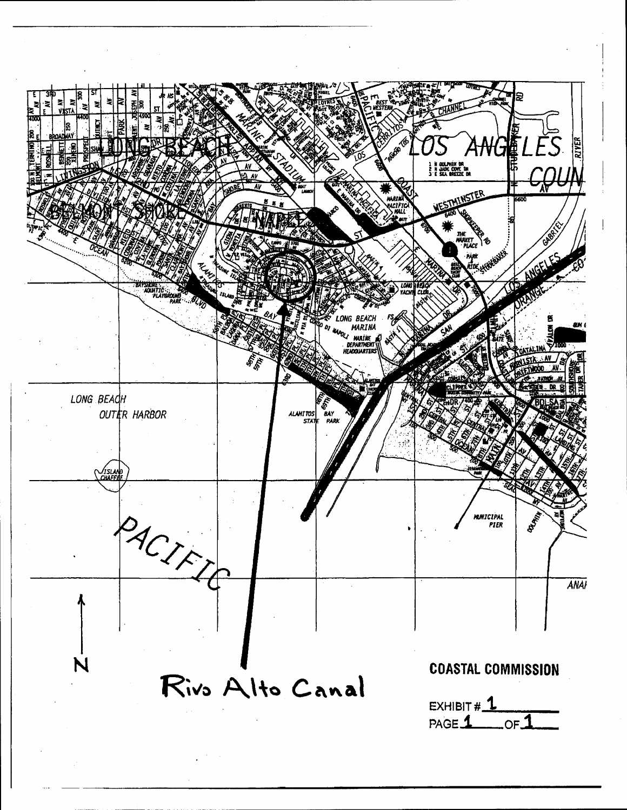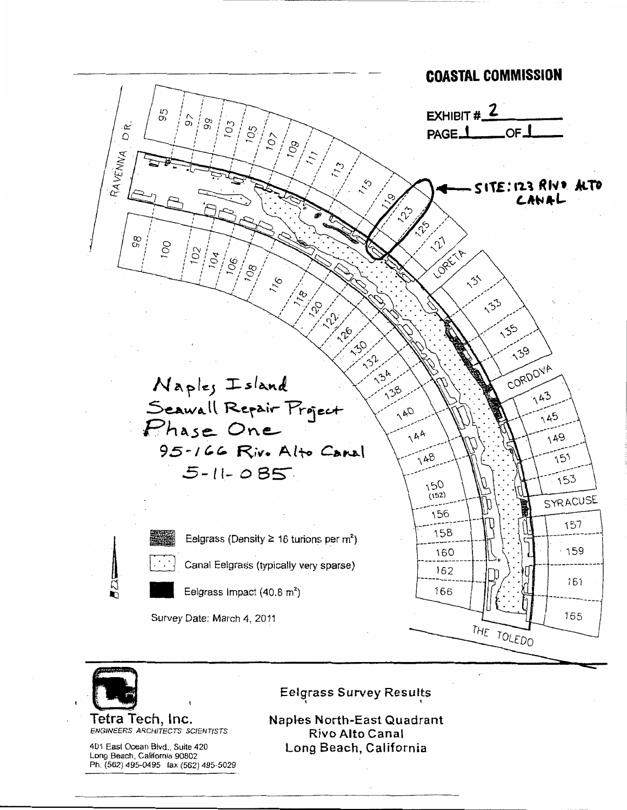



Tetra Tech, Inc. ENGINEERS ARCHITECTS SCIENTISTS

401 East Ocean Bivd., Suite 420 Long Beach, California 90802 Ph. (562) 495-0495 fax (562) 495-5029 **Eelgrass Survey Results** 

**Naples North-East Quadrant** Rivo Alto Canal Long Beach, California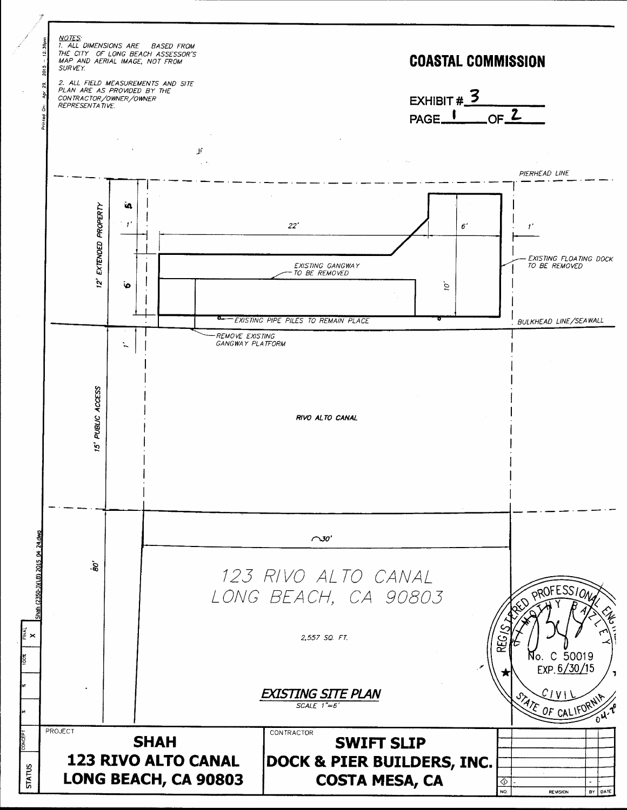